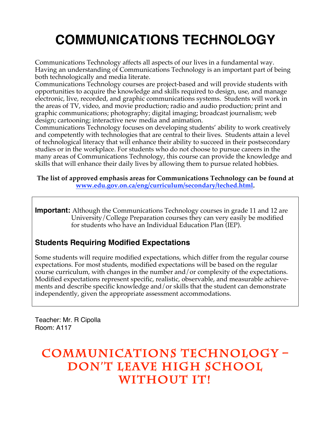# **COMMUNICATIONS TECHNOLOGY**

Communications Technology affects all aspects of our lives in a fundamental way. Having an understanding of Communications Technology is an important part of being both technologically and media literate.

Communications Technology courses are project-based and will provide students with opportunities to acquire the knowledge and skills required to design, use, and manage electronic, live, recorded, and graphic communications systems. Students will work in the areas of TV, video, and movie production; radio and audio production; print and graphic communications; photography; digital imaging; broadcast journalism; web design; cartooning; interactive new media and animation.

Communications Technology focuses on developing students' ability to work creatively and competently with technologies that are central to their lives. Students attain a level of technological literacy that will enhance their ability to succeed in their postsecondary studies or in the workplace. For students who do not choose to pursue careers in the many areas of Communications Technology, this course can provide the knowledge and skills that will enhance their daily lives by allowing them to pursue related hobbies.

#### **The list of approved emphasis areas for Communications Technology can be found at www.edu.gov.on.ca/eng/curriculum/secondary/teched.html.**

**Important:** Although the Communications Technology courses in grade 11 and 12 are University/College Preparation courses they can very easily be modified for students who have an Individual Education Plan (IEP).

## **Students Requiring Modified Expectations**

Some students will require modified expectations, which differ from the regular course expectations. For most students, modified expectations will be based on the regular course curriculum, with changes in the number and/or complexity of the expectations. Modified expectations represent specific, realistic, observable, and measurable achievements and describe specific knowledge and/or skills that the student can demonstrate independently, given the appropriate assessment accommodations.

Teacher: Mr. R Cipolla Room: A117

# **Communications Technology – Don't Leave High School**  WITHOUT IT!